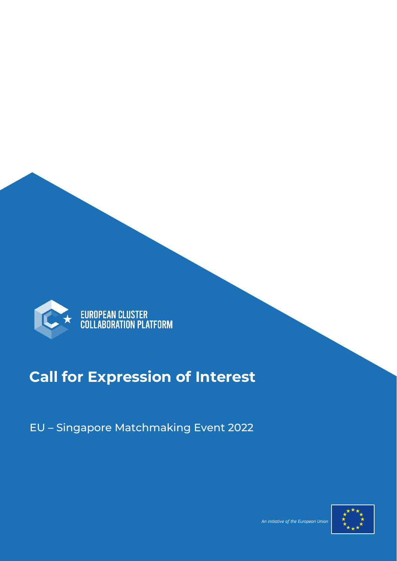

EUROPEAN CLUSTER<br>COLLABORATION PLATFORM

### **Call for Expression of Interest**

EU – Singapore Matchmaking Event 2022



and the contract of the contract of the contract of the contract of the contract of the European Union (2008) and the European Union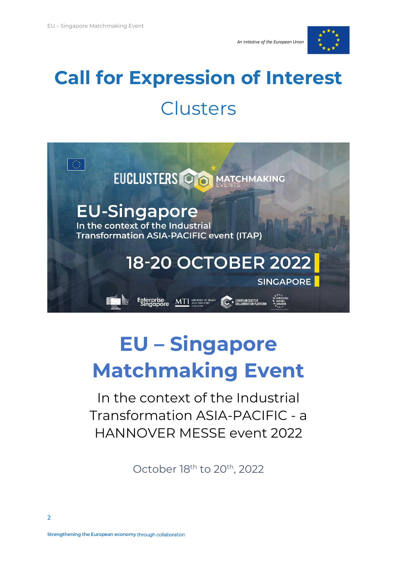



# **Call for Expression of Interest** Clusters



## **EU – Singapore Matchmaking Event**

In the context of the Industrial Transformation ASIA-PACIFIC - a HANNOVER MESSE event 2022

October 18<sup>th</sup> to 20<sup>th</sup>, 2022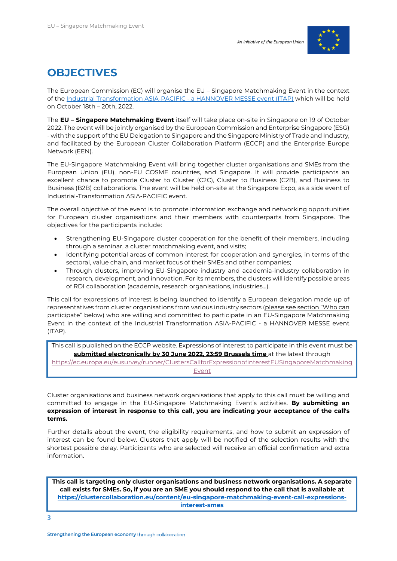

#### **OBJECTIVES**

The European Commission (EC) will organise the EU – Singapore Matchmaking Event in the context of th[e Industrial Transformation ASIA-PACIFIC -](https://www.industrial-transformation.com/page/itap-2022-overview) a HANNOVER MESSE event (ITAP) which will be held on October 18th – 20th, 2022.

The **EU – Singapore Matchmaking Event** itself will take place on-site in Singapore on 19 of October 2022. The event will be jointly organised by the European Commission and Enterprise Singapore (ESG) - with the support of the EU Delegation to Singapore and the Singapore Ministry of Trade and Industry, and facilitated by the European Cluster Collaboration Platform (ECCP) and the Enterprise Europe Network (EEN).

The EU-Singapore Matchmaking Event will bring together cluster organisations and SMEs from the European Union (EU), non-EU COSME countries, and Singapore. It will provide participants an excellent chance to promote Cluster to Cluster (C2C), Cluster to Business (C2B), and Business to Business (B2B) collaborations. The event will be held on-site at the Singapore Expo, as a side event of Industrial-Transformation ASIA-PACIFIC event.

The overall objective of the event is to promote information exchange and networking opportunities for European cluster organisations and their members with counterparts from Singapore. The objectives for the participants include:

- Strengthening EU-Singapore cluster cooperation for the benefit of their members, including through a seminar, a cluster matchmaking event, and visits;
- Identifying potential areas of common interest for cooperation and synergies, in terms of the sectoral, value chain, and market focus of their SMEs and other companies;
- Through clusters, improving EU-Singapore industry and academia-industry collaboration in research, development, and innovation. For its members, the clusters will identify possible areas of RDI collaboration (academia, research organisations, industries...).

This call for expressions of interest is being launched to identify a European delegation made up of representatives from cluster organisations from various industry sectors (please see section "Who can participate" below) who are willing and committed to participate in an EU-Singapore Matchmaking Event in the context of the Industrial Transformation ASIA-PACIFIC - a HANNOVER MESSE event (ITAP).

This call is published on the ECCP website. Expressions of interest to participate in this event must be **submitted electronically by 30 June 2022, 23:59 Brussels time** at the latest through

[https://ec.europa.eu/eusurvey/runner/ClustersCallforExpressionofinterestEUSingaporeMatchmaking](https://ec.europa.eu/eusurvey/runner/ClustersCallforExpressionofinterestEUSingaporeMatchmakingEvent) [Event](https://ec.europa.eu/eusurvey/runner/ClustersCallforExpressionofinterestEUSingaporeMatchmakingEvent)

Cluster organisations and business network organisations that apply to this call must be willing and committed to engage in the EU-Singapore Matchmaking Event's activities. **By submitting an expression of interest in response to this call, you are indicating your acceptance of the call's terms.**

Further details about the event, the eligibility requirements, and how to submit an expression of interest can be found below. Clusters that apply will be notified of the selection results with the shortest possible delay. Participants who are selected will receive an official confirmation and extra information.

**This call is targeting only cluster organisations and business network organisations. A separate call exists for SMEs. So, if you are an SME you should respond to the call that is available at [https://clustercollaboration.eu/content/eu-singapore-matchmaking-event-call-expressions](https://clustercollaboration.eu/content/eu-singapore-matchmaking-event-call-expressions-interest-smes)[interest-smes](https://clustercollaboration.eu/content/eu-singapore-matchmaking-event-call-expressions-interest-smes)**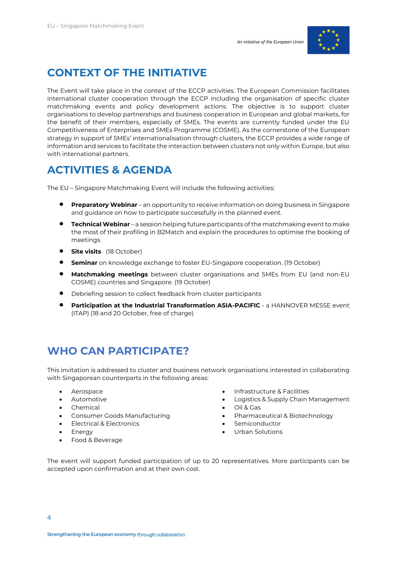

#### **CONTEXT OF THE INITIATIVE**

The Event will take place in the context of the ECCP activities. The European Commission facilitates international cluster cooperation through the ECCP including the organisation of specific cluster matchmaking events and policy development actions. The objective is to support cluster organisations to develop partnerships and business cooperation in European and global markets, for the benefit of their members, especially of SMEs. The events are currently funded under the EU Competitiveness of Enterprises and SMEs Programme (COSME). As the cornerstone of the European strategy in support of SMEs' internationalisation through clusters, the ECCP provides a wide range of information and services to facilitate the interaction between clusters not only within Europe, but also with international partners.

#### **ACTIVITIES & AGENDA**

The EU – Singapore Matchmaking Event will include the following activities:

- **Preparatory Webinar** an opportunity to receive information on doing business in Singapore and guidance on how to participate successfully in the planned event.
- **Technical Webinar** a session helping future participants of the matchmaking event to make the most of their profiling in B2Match and explain the procedures to optimise the booking of meetings.
- **Site visits** (18 October)
- **Seminar** on knowledge exchange to foster EU-Singapore cooperation. (19 October)
- **Matchmaking meetings** between cluster organisations and SMEs from EU (and non-EU COSME) countries and Singapore. (19 October)
- Debriefing session to collect feedback from cluster participants
- **Participation at the Industrial Transformation ASIA-PACIFIC** a HANNOVER MESSE event (ITAP) (18 and 20 October, free of charge)

#### **WHO CAN PARTICIPATE?**

This invitation is addressed to cluster and business network organisations interested in collaborating with Singaporean counterparts in the following areas:

- Aerospace
- **Automotive**
- Chemical
- Consumer Goods Manufacturing
- Electrical & Electronics
- Energy
- Food & Beverage
- Infrastructure & Facilities
- Logistics & Supply Chain Management
- Oil & Gas
- Pharmaceutical & Biotechnology
- **Semiconductor**
- Urban Solutions

The event will support funded participation of up to 20 representatives. More participants can be accepted upon confirmation and at their own cost.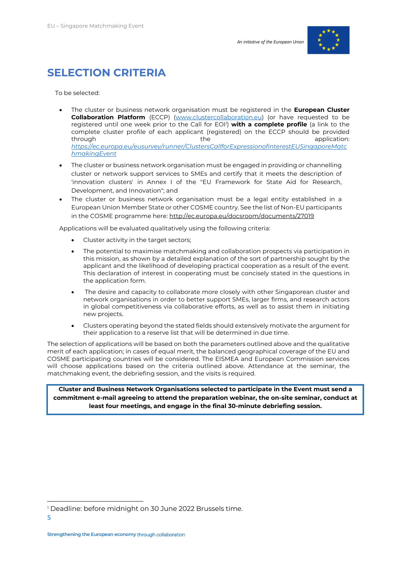

#### **SELECTION CRITERIA**

To be selected:

- The cluster or business network organisation must be registered in the **European Cluster Collaboration Platform** (ECCP) [\(www.clustercollaboration.eu\)](http://www.clustercollaboration.eu/) (or have requested to be registered until one week prior to the Call for EOI*<sup>1</sup>* ) **with a complete profile** (a link to the complete cluster profile of each applicant (registered) on the ECCP should be provided through the through the state application: *[https://ec.europa.eu/eusurvey/runner/ClustersCallforExpressionofinterestEUSingaporeMatc](https://ec.europa.eu/eusurvey/runner/ClustersCallforExpressionofinterestEUSingaporeMatchmakingEvent) [hmakingEvent](https://ec.europa.eu/eusurvey/runner/ClustersCallforExpressionofinterestEUSingaporeMatchmakingEvent)*
- The cluster or business network organisation must be engaged in providing or channelling cluster or network support services to SMEs and certify that it meets the description of 'innovation clusters' in Annex I of the "EU Framework for State Aid for Research, Development, and Innovation"; and
- The cluster or business network organisation must be a legal entity established in a European Union Member State or other COSME country. See the list of Non-EU participants in the COSME programme here:<http://ec.europa.eu/docsroom/documents/27019>

Applications will be evaluated qualitatively using the following criteria:

- Cluster activity in the target sectors:
- The potential to maximise matchmaking and collaboration prospects via participation in this mission, as shown by a detailed explanation of the sort of partnership sought by the applicant and the likelihood of developing practical cooperation as a result of the event. This declaration of interest in cooperating must be concisely stated in the questions in the application form.
- The desire and capacity to collaborate more closely with other Singaporean cluster and network organisations in order to better support SMEs, larger firms, and research actors in global competitiveness via collaborative efforts, as well as to assist them in initiating new projects.
- Clusters operating beyond the stated fields should extensively motivate the argument for their application to a reserve list that will be determined in due time.

The selection of applications will be based on both the parameters outlined above and the qualitative merit of each application; in cases of equal merit, the balanced geographical coverage of the EU and COSME participating countries will be considered. The EISMEA and European Commission services will choose applications based on the criteria outlined above. Attendance at the seminar, the matchmaking event, the debriefing session, and the visits is required.

**Cluster and Business Network Organisations selected to participate in the Event must send a commitment e-mail agreeing to attend the preparation webinar, the on-site seminar, conduct at least four meetings, and engage in the final 30-minute debriefing session.** 

<sup>1</sup> Deadline: before midnight on 30 June 2022 Brussels time.